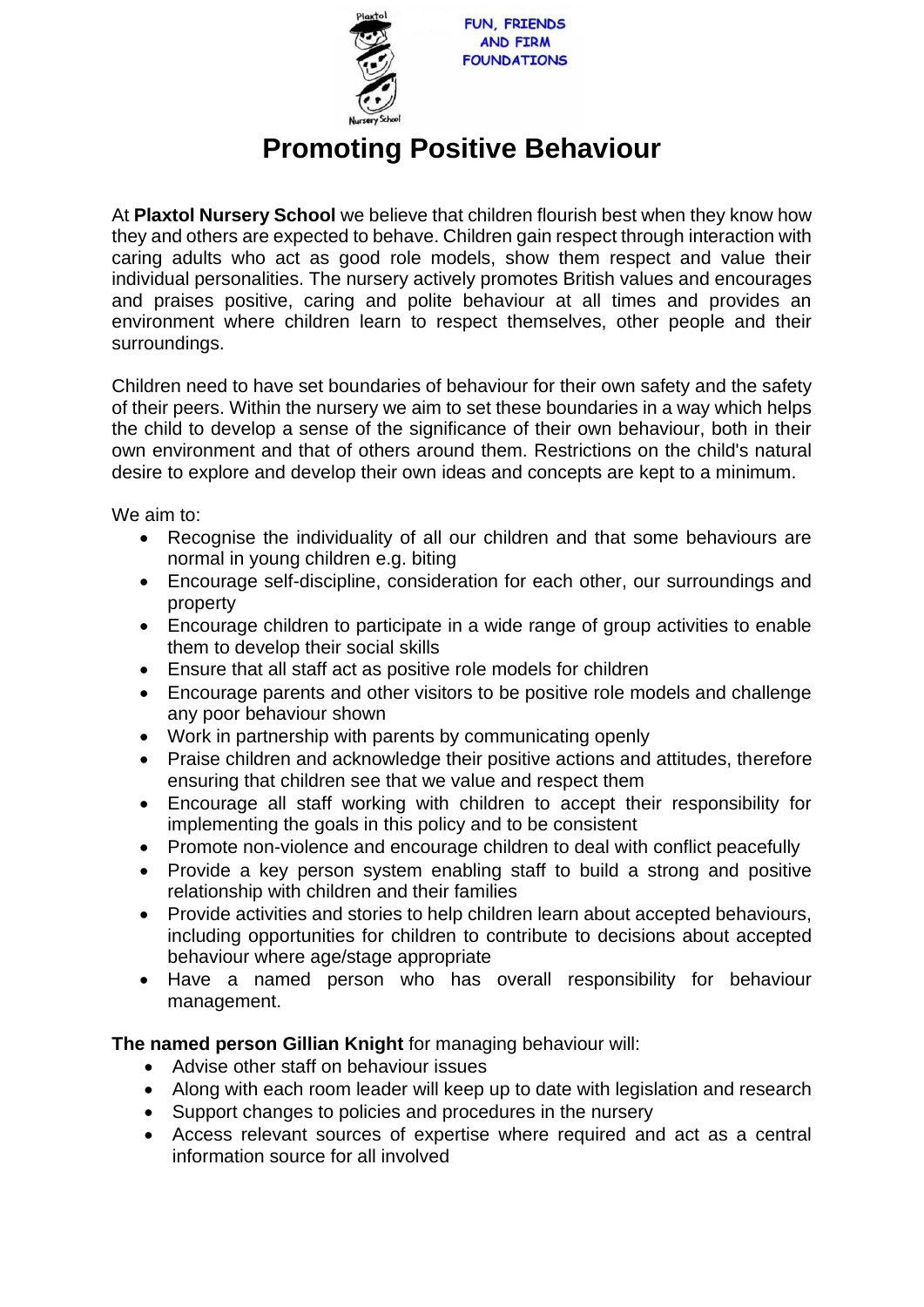

## **Promoting Positive Behaviour**

At **Plaxtol Nursery School** we believe that children flourish best when they know how they and others are expected to behave. Children gain respect through interaction with caring adults who act as good role models, show them respect and value their individual personalities. The nursery actively promotes British values and encourages and praises positive, caring and polite behaviour at all times and provides an environment where children learn to respect themselves, other people and their surroundings.

Children need to have set boundaries of behaviour for their own safety and the safety of their peers. Within the nursery we aim to set these boundaries in a way which helps the child to develop a sense of the significance of their own behaviour, both in their own environment and that of others around them. Restrictions on the child's natural desire to explore and develop their own ideas and concepts are kept to a minimum.

We aim to:

- Recognise the individuality of all our children and that some behaviours are normal in young children e.g. biting
- Encourage self-discipline, consideration for each other, our surroundings and property
- Encourage children to participate in a wide range of group activities to enable them to develop their social skills
- Ensure that all staff act as positive role models for children
- Encourage parents and other visitors to be positive role models and challenge any poor behaviour shown
- Work in partnership with parents by communicating openly
- Praise children and acknowledge their positive actions and attitudes, therefore ensuring that children see that we value and respect them
- Encourage all staff working with children to accept their responsibility for implementing the goals in this policy and to be consistent
- Promote non-violence and encourage children to deal with conflict peacefully
- Provide a key person system enabling staff to build a strong and positive relationship with children and their families
- Provide activities and stories to help children learn about accepted behaviours, including opportunities for children to contribute to decisions about accepted behaviour where age/stage appropriate
- Have a named person who has overall responsibility for behaviour management.

## **The named person Gillian Knight** for managing behaviour will:

- Advise other staff on behaviour issues
- Along with each room leader will keep up to date with legislation and research
- Support changes to policies and procedures in the nursery
- Access relevant sources of expertise where required and act as a central information source for all involved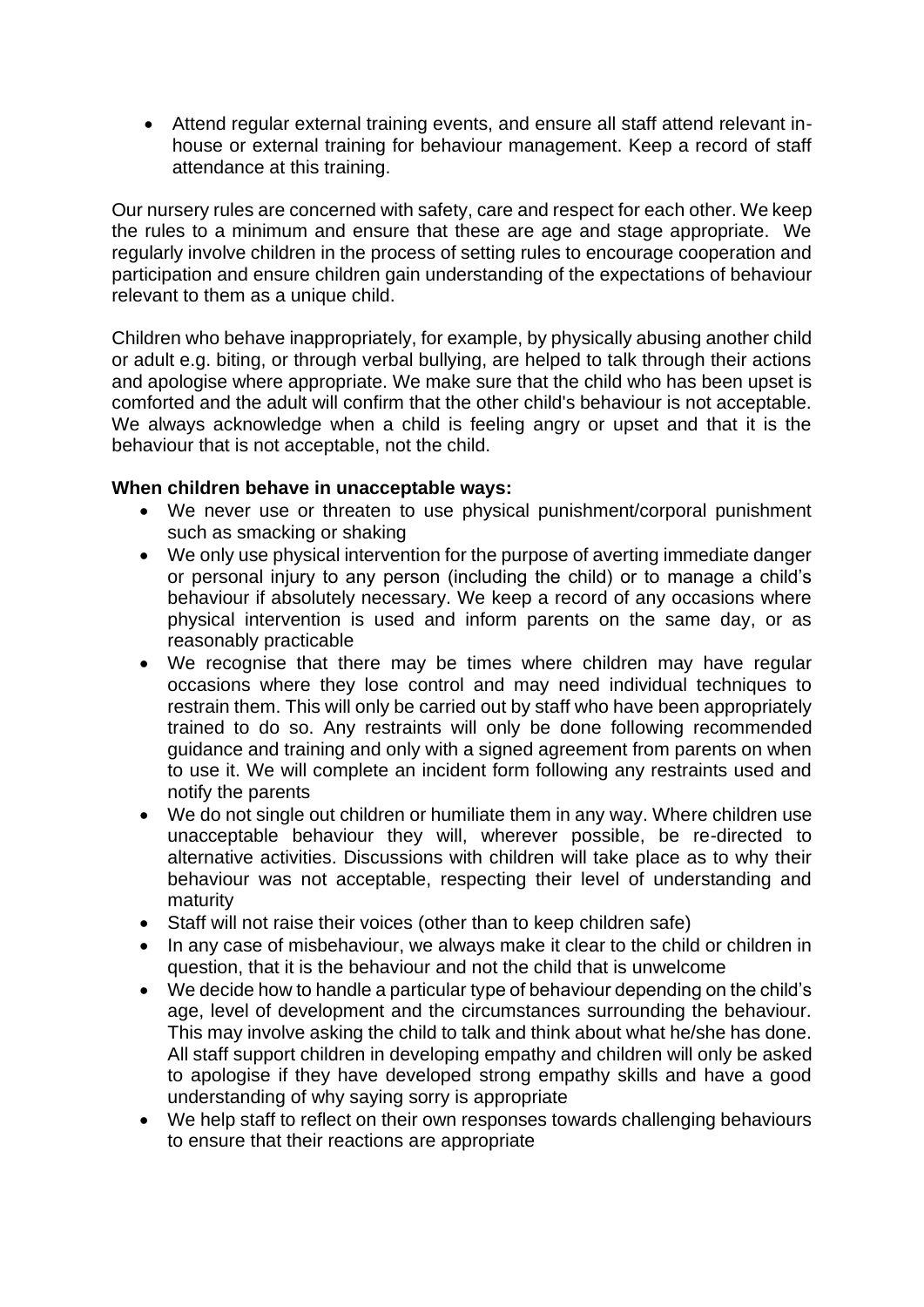• Attend regular external training events, and ensure all staff attend relevant inhouse or external training for behaviour management. Keep a record of staff attendance at this training.

Our nursery rules are concerned with safety, care and respect for each other. We keep the rules to a minimum and ensure that these are age and stage appropriate. We regularly involve children in the process of setting rules to encourage cooperation and participation and ensure children gain understanding of the expectations of behaviour relevant to them as a unique child.

Children who behave inappropriately, for example, by physically abusing another child or adult e.g. biting, or through verbal bullying, are helped to talk through their actions and apologise where appropriate. We make sure that the child who has been upset is comforted and the adult will confirm that the other child's behaviour is not acceptable. We always acknowledge when a child is feeling angry or upset and that it is the behaviour that is not acceptable, not the child.

## **When children behave in unacceptable ways:**

- We never use or threaten to use physical punishment/corporal punishment such as smacking or shaking
- We only use physical intervention for the purpose of averting immediate danger or personal injury to any person (including the child) or to manage a child's behaviour if absolutely necessary. We keep a record of any occasions where physical intervention is used and inform parents on the same day, or as reasonably practicable
- We recognise that there may be times where children may have regular occasions where they lose control and may need individual techniques to restrain them. This will only be carried out by staff who have been appropriately trained to do so. Any restraints will only be done following recommended guidance and training and only with a signed agreement from parents on when to use it. We will complete an incident form following any restraints used and notify the parents
- We do not single out children or humiliate them in any way. Where children use unacceptable behaviour they will, wherever possible, be re-directed to alternative activities. Discussions with children will take place as to why their behaviour was not acceptable, respecting their level of understanding and maturity
- Staff will not raise their voices (other than to keep children safe)
- In any case of misbehaviour, we always make it clear to the child or children in question, that it is the behaviour and not the child that is unwelcome
- We decide how to handle a particular type of behaviour depending on the child's age, level of development and the circumstances surrounding the behaviour. This may involve asking the child to talk and think about what he/she has done. All staff support children in developing empathy and children will only be asked to apologise if they have developed strong empathy skills and have a good understanding of why saying sorry is appropriate
- We help staff to reflect on their own responses towards challenging behaviours to ensure that their reactions are appropriate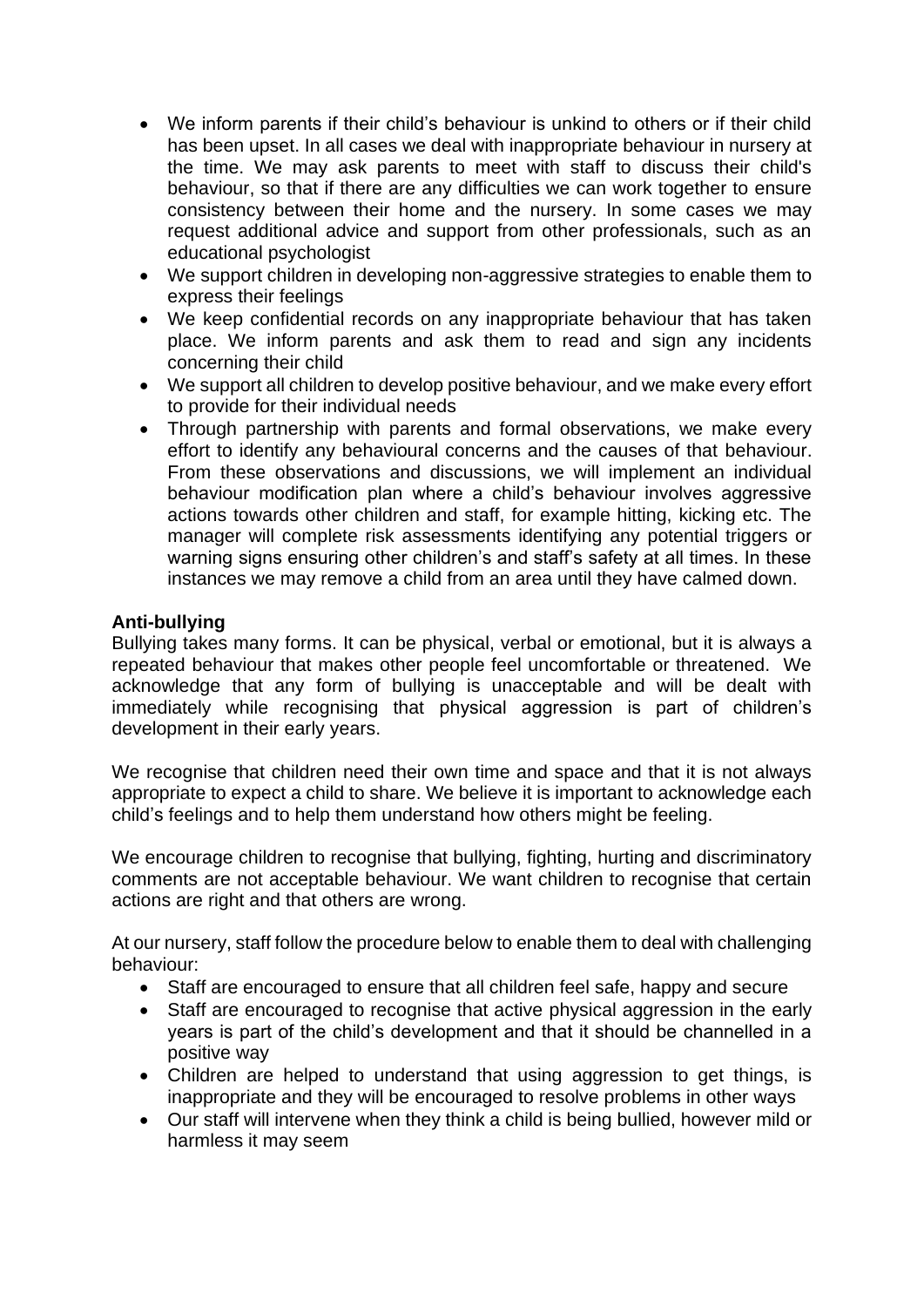- We inform parents if their child's behaviour is unkind to others or if their child has been upset. In all cases we deal with inappropriate behaviour in nursery at the time. We may ask parents to meet with staff to discuss their child's behaviour, so that if there are any difficulties we can work together to ensure consistency between their home and the nursery. In some cases we may request additional advice and support from other professionals, such as an educational psychologist
- We support children in developing non-aggressive strategies to enable them to express their feelings
- We keep confidential records on any inappropriate behaviour that has taken place. We inform parents and ask them to read and sign any incidents concerning their child
- We support all children to develop positive behaviour, and we make every effort to provide for their individual needs
- Through partnership with parents and formal observations, we make every effort to identify any behavioural concerns and the causes of that behaviour. From these observations and discussions, we will implement an individual behaviour modification plan where a child's behaviour involves aggressive actions towards other children and staff, for example hitting, kicking etc. The manager will complete risk assessments identifying any potential triggers or warning signs ensuring other children's and staff's safety at all times. In these instances we may remove a child from an area until they have calmed down.

## **Anti-bullying**

Bullying takes many forms. It can be physical, verbal or emotional, but it is always a repeated behaviour that makes other people feel uncomfortable or threatened. We acknowledge that any form of bullying is unacceptable and will be dealt with immediately while recognising that physical aggression is part of children's development in their early years.

We recognise that children need their own time and space and that it is not always appropriate to expect a child to share. We believe it is important to acknowledge each child's feelings and to help them understand how others might be feeling.

We encourage children to recognise that bullying, fighting, hurting and discriminatory comments are not acceptable behaviour. We want children to recognise that certain actions are right and that others are wrong.

At our nursery, staff follow the procedure below to enable them to deal with challenging behaviour:

- Staff are encouraged to ensure that all children feel safe, happy and secure
- Staff are encouraged to recognise that active physical aggression in the early years is part of the child's development and that it should be channelled in a positive way
- Children are helped to understand that using aggression to get things, is inappropriate and they will be encouraged to resolve problems in other ways
- Our staff will intervene when they think a child is being bullied, however mild or harmless it may seem